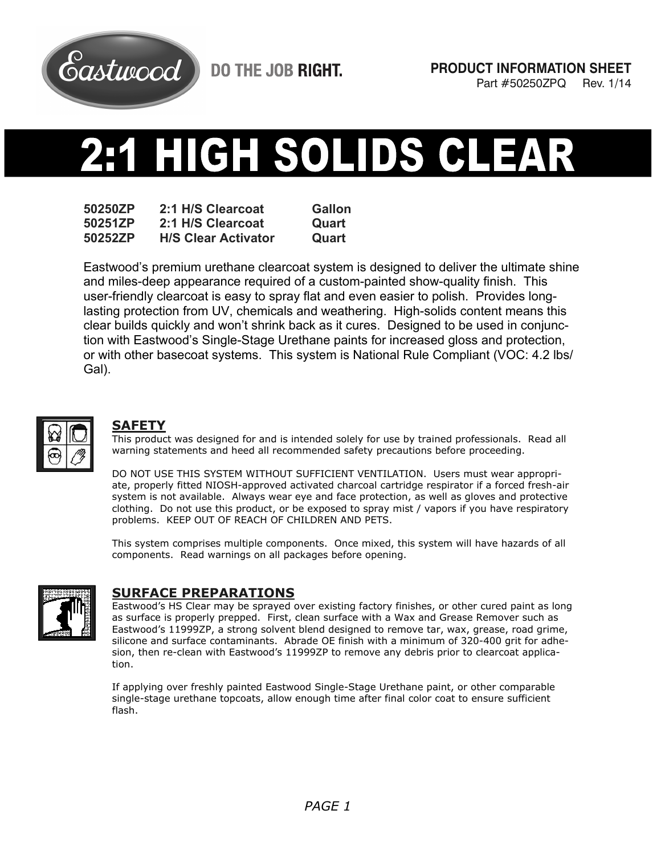

**DO THE JOB RIGHT.** 

# HIGH SOLIDS CL 43

**50250ZP 2:1 H/S Clearcoat Gallon 50251ZP 2:1 H/S Clearcoat Quart 50252ZP H/S Clear Activator Quart** 

Eastwood's premium urethane clearcoat system is designed to deliver the ultimate shine and miles-deep appearance required of a custom-painted show-quality finish. This user-friendly clearcoat is easy to spray flat and even easier to polish. Provides longlasting protection from UV, chemicals and weathering. High-solids content means this clear builds quickly and won't shrink back as it cures. Designed to be used in conjunction with Eastwood's Single-Stage Urethane paints for increased gloss and protection, or with other basecoat systems. This system is National Rule Compliant (VOC: 4.2 lbs/ Gal).



#### **SAFETY**

This product was designed for and is intended solely for use by trained professionals. Read all warning statements and heed all recommended safety precautions before proceeding.

DO NOT USE THIS SYSTEM WITHOUT SUFFICIENT VENTILATION. Users must wear appropriate, properly fitted NIOSH-approved activated charcoal cartridge respirator if a forced fresh-air system is not available. Always wear eye and face protection, as well as gloves and protective clothing. Do not use this product, or be exposed to spray mist / vapors if you have respiratory problems. KEEP OUT OF REACH OF CHILDREN AND PETS.

This system comprises multiple components. Once mixed, this system will have hazards of all components. Read warnings on all packages before opening.



## **SURFACE PREPARATIONS**

Eastwood's HS Clear may be sprayed over existing factory finishes, or other cured paint as long as surface is properly prepped. First, clean surface with a Wax and Grease Remover such as Eastwood's 11999ZP, a strong solvent blend designed to remove tar, wax, grease, road grime, silicone and surface contaminants. Abrade OE finish with a minimum of 320-400 grit for adhesion, then re-clean with Eastwood's 11999ZP to remove any debris prior to clearcoat application.

If applying over freshly painted Eastwood Single-Stage Urethane paint, or other comparable single-stage urethane topcoats, allow enough time after final color coat to ensure sufficient flash.